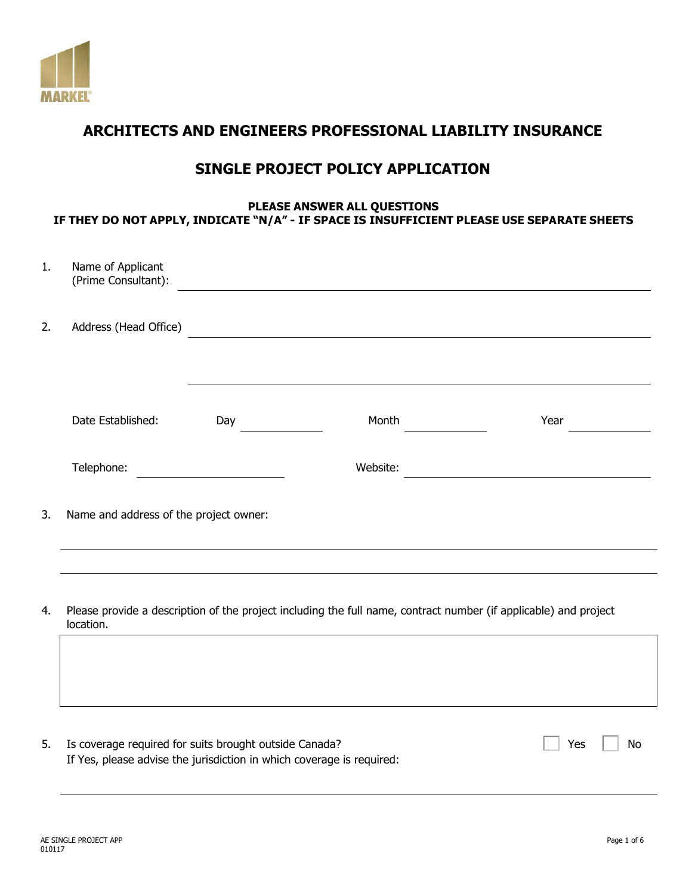

# **ARCHITECTS AND ENGINEERS PROFESSIONAL LIABILITY INSURANCE**

# **SINGLE PROJECT POLICY APPLICATION**

## **PLEASE ANSWER ALL QUESTIONS IF THEY DO NOT APPLY, INDICATE "N/A" - IF SPACE IS INSUFFICIENT PLEASE USE SEPARATE SHEETS**

| 1. | Name of Applicant<br>(Prime Consultant):               |     |                                                                                                                  |                                                                                                                      |
|----|--------------------------------------------------------|-----|------------------------------------------------------------------------------------------------------------------|----------------------------------------------------------------------------------------------------------------------|
| 2. | Address (Head Office)                                  |     | <u> 1989 - Andrea Barbara, martin a bhaile an t-</u>                                                             |                                                                                                                      |
|    | Date Established:                                      | Day | Month                                                                                                            | Year                                                                                                                 |
|    | Telephone:                                             |     | Website:                                                                                                         | <u> 1980 - Jan Stein Stein Stein Stein Stein Stein Stein Stein Stein Stein Stein Stein Stein Stein Stein Stein S</u> |
| 3. | Name and address of the project owner:                 |     | ,我们也不会有什么。""我们的人,我们也不会有什么?""我们的人,我们也不会有什么?""我们的人,我们也不会有什么?""我们的人,我们也不会有什么?""我们的人                                 |                                                                                                                      |
|    |                                                        |     |                                                                                                                  |                                                                                                                      |
| 4. | location.                                              |     | Please provide a description of the project including the full name, contract number (if applicable) and project |                                                                                                                      |
|    |                                                        |     |                                                                                                                  |                                                                                                                      |
| 5. | Is coverage required for suits brought outside Canada? |     |                                                                                                                  | Yes<br>No                                                                                                            |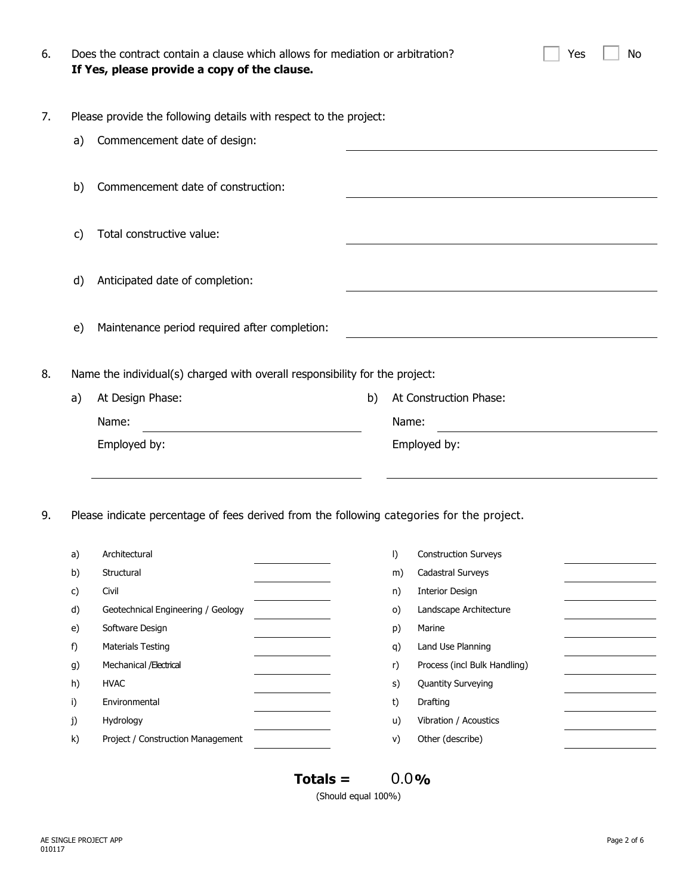| 6. |    | Does the contract contain a clause which allows for mediation or arbitration?<br>If Yes, please provide a copy of the clause. |                              |          |                              | Yes | No |  |  |  |
|----|----|-------------------------------------------------------------------------------------------------------------------------------|------------------------------|----------|------------------------------|-----|----|--|--|--|
| 7. |    | Please provide the following details with respect to the project:                                                             |                              |          |                              |     |    |  |  |  |
|    | a) | Commencement date of design:                                                                                                  |                              |          |                              |     |    |  |  |  |
|    | b) | Commencement date of construction:                                                                                            |                              |          |                              |     |    |  |  |  |
|    | C) | Total constructive value:                                                                                                     |                              |          |                              |     |    |  |  |  |
|    | d) | Anticipated date of completion:                                                                                               |                              |          |                              |     |    |  |  |  |
|    | e) | Maintenance period required after completion:                                                                                 |                              |          |                              |     |    |  |  |  |
| 8. |    | Name the individual(s) charged with overall responsibility for the project:                                                   |                              |          |                              |     |    |  |  |  |
|    | a) | At Design Phase:                                                                                                              | At Construction Phase:<br>b) |          |                              |     |    |  |  |  |
|    |    | Name:                                                                                                                         |                              | Name:    |                              |     |    |  |  |  |
|    |    | Employed by:                                                                                                                  |                              |          | Employed by:                 |     |    |  |  |  |
| 9. |    | Please indicate percentage of fees derived from the following categories for the project.                                     |                              |          |                              |     |    |  |  |  |
|    |    | a) Architectural                                                                                                              |                              |          | I) Construction Surveys      |     |    |  |  |  |
|    | b) | Structural                                                                                                                    |                              | m)       | Cadastral Surveys            |     |    |  |  |  |
|    | c) | Civil                                                                                                                         |                              | n)       | <b>Interior Design</b>       |     |    |  |  |  |
|    | d) | Geotechnical Engineering / Geology                                                                                            |                              | $\circ)$ | Landscape Architecture       |     |    |  |  |  |
|    | e) | Software Design                                                                                                               |                              | p)       | Marine                       |     |    |  |  |  |
|    | f) | <b>Materials Testing</b>                                                                                                      |                              | q)       | Land Use Planning            |     |    |  |  |  |
|    | g) | Mechanical / Electrical                                                                                                       |                              | r)       | Process (incl Bulk Handling) |     |    |  |  |  |
|    | h) | <b>HVAC</b>                                                                                                                   |                              | s)       | <b>Quantity Surveying</b>    |     |    |  |  |  |
|    | i) | Environmental                                                                                                                 |                              | t)       | Drafting                     |     |    |  |  |  |
|    | j) | Hydrology                                                                                                                     |                              | u)       | Vibration / Acoustics        |     |    |  |  |  |
|    | k) | Project / Construction Management                                                                                             |                              | V)       | Other (describe)             |     |    |  |  |  |
|    |    |                                                                                                                               | $Totals =$                   |          | 0.0%                         |     |    |  |  |  |

(Should equal 100%)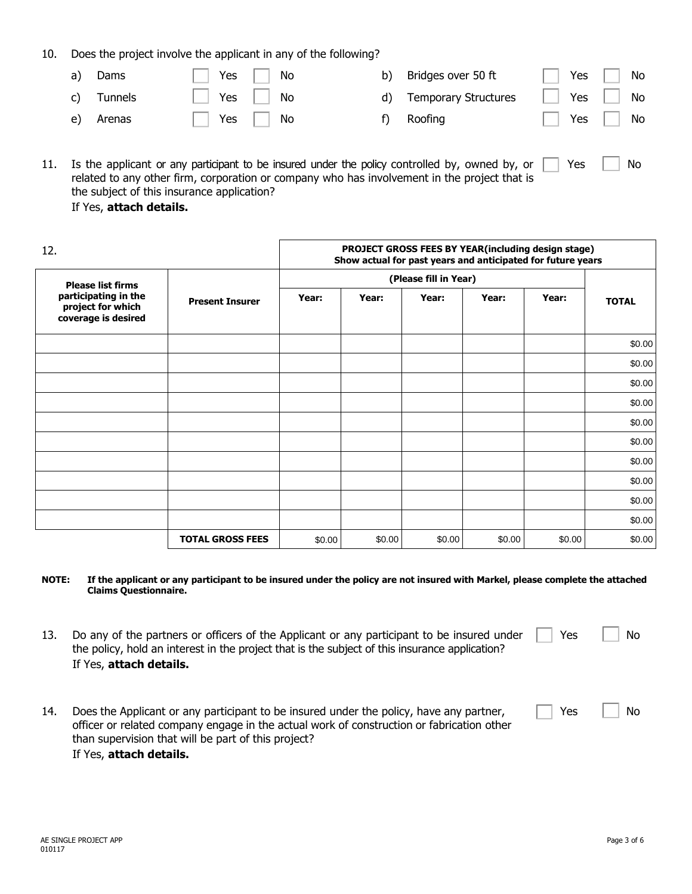10. Does the project involve the applicant in any of the following?

| a) | Dams       | Yes No     | b) Bridges over 50 ft   | Yes $\Box$   | No         |
|----|------------|------------|-------------------------|--------------|------------|
|    | c) Tunnels | Yes     No | d) Temporary Structures |              | Yes     No |
| e) | Arenas     | Yes     No | f) Roofing              | $\mathbf{L}$ | $Yes$ No   |
|    |            |            |                         |              |            |

| 11. Is the applicant or any participant to be insured under the policy controlled by, owned by, or $\Box$<br>Yes | <b>No</b> |
|------------------------------------------------------------------------------------------------------------------|-----------|
| related to any other firm, corporation or company who has involvement in the project that is                     |           |
| the subject of this insurance application?                                                                       |           |

### If Yes, **attach details.**

| 12.                                                              | PROJECT GROSS FEES BY YEAR(including design stage)<br>Show actual for past years and anticipated for future years |        |        |        |        |        |              |
|------------------------------------------------------------------|-------------------------------------------------------------------------------------------------------------------|--------|--------|--------|--------|--------|--------------|
| <b>Please list firms</b>                                         | <b>Present Insurer</b>                                                                                            |        |        |        |        |        |              |
| participating in the<br>project for which<br>coverage is desired |                                                                                                                   | Year:  | Year:  | Year:  | Year:  | Year:  | <b>TOTAL</b> |
|                                                                  |                                                                                                                   |        |        |        |        |        | \$0.00       |
|                                                                  |                                                                                                                   |        |        |        |        |        | \$0.00       |
|                                                                  |                                                                                                                   |        |        |        |        |        | \$0.00       |
|                                                                  |                                                                                                                   |        |        |        |        |        | \$0.00       |
|                                                                  |                                                                                                                   |        |        |        |        |        | \$0.00       |
|                                                                  |                                                                                                                   |        |        |        |        |        | \$0.00       |
|                                                                  |                                                                                                                   |        |        |        |        |        | \$0.00       |
|                                                                  |                                                                                                                   |        |        |        |        |        | \$0.00       |
|                                                                  |                                                                                                                   |        |        |        |        |        | \$0.00       |
|                                                                  |                                                                                                                   |        |        |        |        |        | \$0.00       |
|                                                                  | <b>TOTAL GROSS FEES</b>                                                                                           | \$0.00 | \$0.00 | \$0.00 | \$0.00 | \$0.00 | \$0.00       |

#### **NOTE: If the applicant or any participant to be insured under the policy are not insured with Markel, please complete the attached Claims Questionnaire.**

- 13. Do any of the partners or officers of the Applicant or any participant to be insured under the policy, hold an interest in the project that is the subject of this insurance application? If Yes, **attach details.**  $Yes \t | No$
- 14. Does the Applicant or any participant to be insured under the policy, have any partner, J. officer or related company engage in the actual work of construction or fabrication other than supervision that will be part of this project? If Yes, **attach details.**

| Yes | No |
|-----|----|

AE SINGLE PROJECT APP Page 3 of 6 010117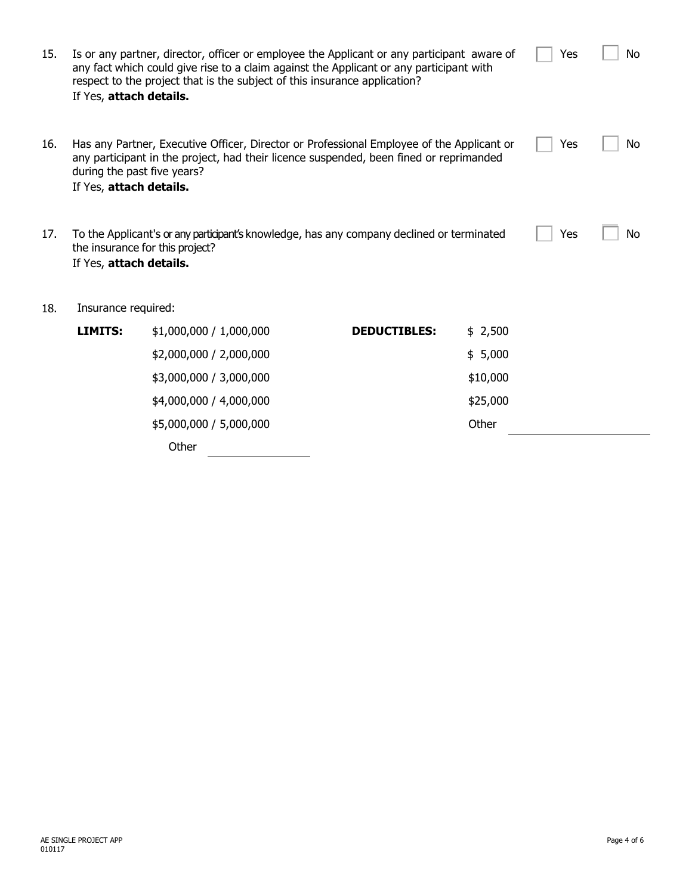| 15. | Is or any partner, director, officer or employee the Applicant or any participant aware of<br>any fact which could give rise to a claim against the Applicant or any participant with<br>respect to the project that is the subject of this insurance application?<br>If Yes, attach details. | Yes                     | No                  |          |  |  |  |  |
|-----|-----------------------------------------------------------------------------------------------------------------------------------------------------------------------------------------------------------------------------------------------------------------------------------------------|-------------------------|---------------------|----------|--|--|--|--|
| 16. | Has any Partner, Executive Officer, Director or Professional Employee of the Applicant or<br>Yes<br>No<br>any participant in the project, had their licence suspended, been fined or reprimanded<br>during the past five years?<br>If Yes, attach details.                                    |                         |                     |          |  |  |  |  |
| 17. | To the Applicant's or any participant's knowledge, has any company declined or terminated<br>Yes<br>No<br>the insurance for this project?<br>If Yes, attach details.                                                                                                                          |                         |                     |          |  |  |  |  |
| 18. | Insurance required:                                                                                                                                                                                                                                                                           |                         |                     |          |  |  |  |  |
|     | LIMITS:                                                                                                                                                                                                                                                                                       | \$1,000,000 / 1,000,000 | <b>DEDUCTIBLES:</b> | \$2,500  |  |  |  |  |
|     |                                                                                                                                                                                                                                                                                               | \$2,000,000 / 2,000,000 |                     | \$5,000  |  |  |  |  |
|     |                                                                                                                                                                                                                                                                                               | \$3,000,000 / 3,000,000 |                     | \$10,000 |  |  |  |  |
|     |                                                                                                                                                                                                                                                                                               | \$4,000,000 / 4,000,000 |                     | \$25,000 |  |  |  |  |
|     |                                                                                                                                                                                                                                                                                               | \$5,000,000 / 5,000,000 |                     | Other    |  |  |  |  |
|     |                                                                                                                                                                                                                                                                                               | $\bigcap_{k}$           |                     |          |  |  |  |  |

**Other**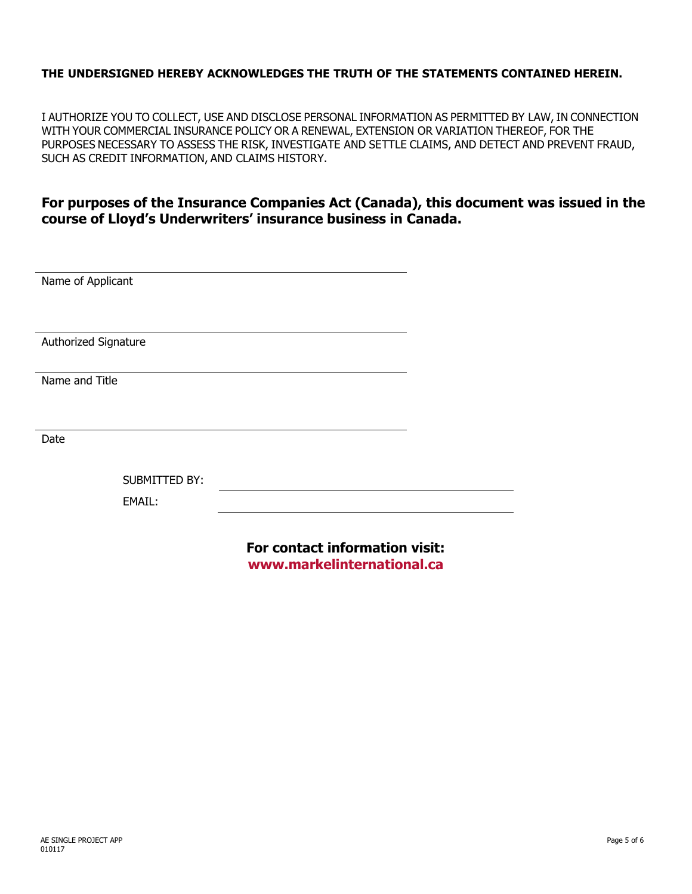## **THE UNDERSIGNED HEREBY ACKNOWLEDGES THE TRUTH OF THE STATEMENTS CONTAINED HEREIN.**

I AUTHORIZE YOU TO COLLECT, USE AND DISCLOSE PERSONAL INFORMATION AS PERMITTED BY LAW, IN CONNECTION WITH YOUR COMMERCIAL INSURANCE POLICY OR A RENEWAL, EXTENSION OR VARIATION THEREOF, FOR THE PURPOSES NECESSARY TO ASSESS THE RISK, INVESTIGATE AND SETTLE CLAIMS, AND DETECT AND PREVENT FRAUD, SUCH AS CREDIT INFORMATION, AND CLAIMS HISTORY.

## **For purposes of the Insurance Companies Act (Canada), this document was issued in the course of Lloyd's Underwriters' insurance business in Canada.**

**www.markelinternational.ca**

| Name of Applicant    |                      |                                |  |
|----------------------|----------------------|--------------------------------|--|
|                      |                      |                                |  |
|                      |                      |                                |  |
|                      |                      |                                |  |
| Authorized Signature |                      |                                |  |
|                      |                      |                                |  |
| Name and Title       |                      |                                |  |
|                      |                      |                                |  |
|                      |                      |                                |  |
| Date                 |                      |                                |  |
|                      |                      |                                |  |
|                      |                      |                                |  |
|                      | <b>SUBMITTED BY:</b> |                                |  |
|                      | <b>EMAIL:</b>        |                                |  |
|                      |                      |                                |  |
|                      |                      |                                |  |
|                      |                      | For contact information visit: |  |